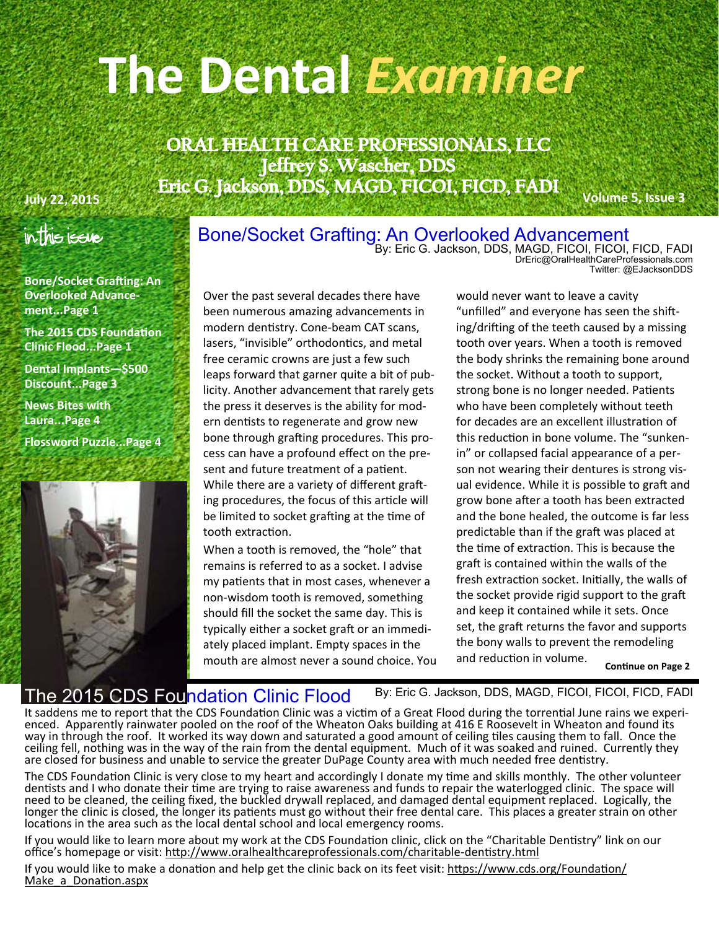# **The Dental** *Examiner*

ORAL HEALTH CARE PROFESSIONALS, LLC Jeffrey S. Wascher, DDS July 22, 2015 **Firic G. Jackson, DDS, MAGD, FICOI, FICD, FADI** Volume 5, Issue 3

### In This Issue

**Bone/Socket Grafting: An Overlooked Advancement...Page 1** 

**The 2015 CDS Foundation Clinic Flood...Page 1** 

**Dental Implants—\$500 Discount...Page 3** 

**News Bites with Laura...Page 4** 

**Flossword Puzzle...Page 4** 



# Bone/Socket Grafting: An Overlooked Advancement<br>By: Eric G. Jackson, DDS, MAGD, FICOI, FICOI, FICD, FADI

DrEric@OralHealthCareProfessionals.com Twitter: @EJacksonDDS

Over the past several decades there have been numerous amazing advancements in modern dentistry. Cone-beam CAT scans, lasers, "invisible" orthodontics, and metal free ceramic crowns are just a few such leaps forward that garner quite a bit of pub‐ licity. Another advancement that rarely gets the press it deserves is the ability for mod‐ ern dentists to regenerate and grow new bone through grafting procedures. This process can have a profound effect on the pre‐ sent and future treatment of a patient. While there are a variety of different grafting procedures, the focus of this article will be limited to socket grafting at the time of tooth extraction.

When a tooth is removed, the "hole" that remains is referred to as a socket. I advise my patients that in most cases, whenever a non‐wisdom tooth is removed, something should fill the socket the same day. This is typically either a socket graft or an immediately placed implant. Empty spaces in the mouth are almost never a sound choice. You would never want to leave a cavity "unfilled" and everyone has seen the shifting/drifting of the teeth caused by a missing tooth over years. When a tooth is removed the body shrinks the remaining bone around the socket. Without a tooth to support, strong bone is no longer needed. Patients who have been completely without teeth for decades are an excellent illustration of this reduction in bone volume. The "sunkenin" or collapsed facial appearance of a per‐ son not wearing their dentures is strong vis‐ ual evidence. While it is possible to graft and grow bone after a tooth has been extracted and the bone healed, the outcome is far less predictable than if the graft was placed at the time of extraction. This is because the graft is contained within the walls of the fresh extraction socket. Initially, the walls of the socket provide rigid support to the graft and keep it contained while it sets. Once set, the graft returns the favor and supports the bony walls to prevent the remodeling and reduction in volume.

**Continue on Page 2** 

#### he 2015 CDS Foundation Clinic Flood

By: Eric G. Jackson, DDS, MAGD, FICOI, FICOI, FICD, FADI

It saddens me to report that the CDS Foundation Clinic was a victim of a Great Flood during the torrential June rains we experi-<br>enced. Apparently rainwater pooled on the roof of the Wheaton Oaks building at 416 E Roosevel way in through the roof. It worked its way down and saturated a good amount of ceiling tiles causing them to fall. Once the ceiling fell, nothing was in the way of the rain from the dental equipment. Much of it was soaked and ruined. Currently they are closed for business and unable to service the greater DuPage County area with much needed free dentistry.

The CDS Foundation Clinic is very close to my heart and accordingly I donate my time and skills monthly. The other volunteer dentists and I who donate their time are trying to raise awareness and funds to repair the waterlogged clinic. The space will need to be cleaned, the ceiling fixed, the buckled drywall replaced, and damaged dental equipment replaced. Logically, the longer the clinic is closed, the longer its patients must go without their free dental care. This places a greater strain on other locations in the area such as the local dental school and local emergency rooms.

If you would like to learn more about my work at the CDS Foundation clinic, click on the "Charitable Dentistry" link on our office's homepage or visit: http://www.oralhealthcareprofessionals.com/charitable-dentistry.html

If you would like to make a donation and help get the clinic back on its feet visit: https://www.cds.org/Foundation/ Make a Donation.aspx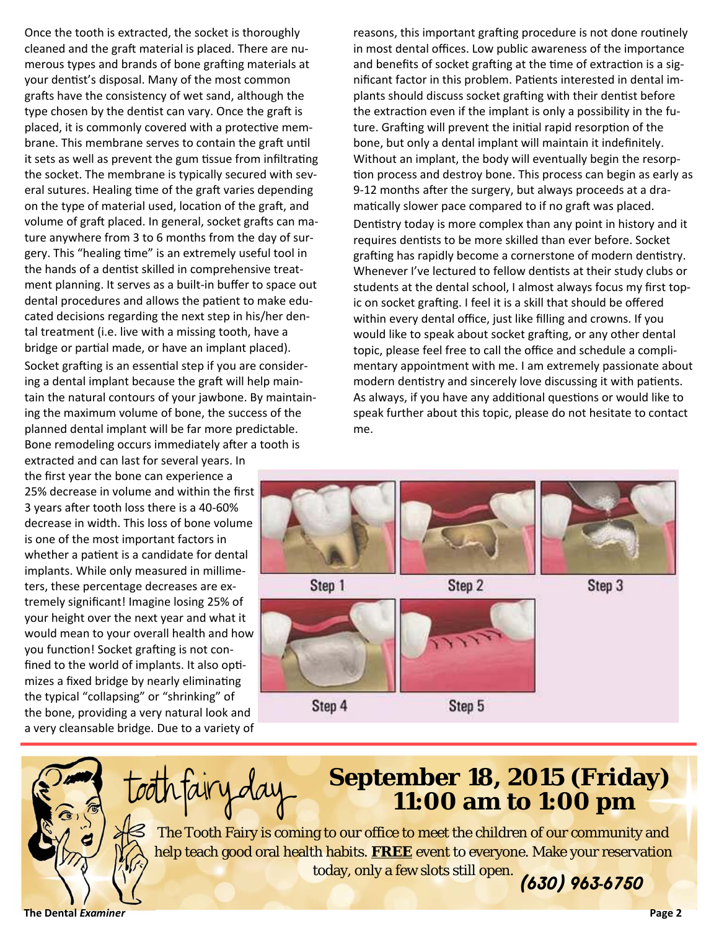Once the tooth is extracted, the socket is thoroughly cleaned and the graft material is placed. There are numerous types and brands of bone grafting materials at your dentist's disposal. Many of the most common grafts have the consistency of wet sand, although the type chosen by the dentist can vary. Once the graft is placed, it is commonly covered with a protective membrane. This membrane serves to contain the graft until it sets as well as prevent the gum tissue from infiltrating the socket. The membrane is typically secured with several sutures. Healing time of the graft varies depending on the type of material used, location of the graft, and volume of graft placed. In general, socket grafts can mature anywhere from 3 to 6 months from the day of sur‐ gery. This "healing time" is an extremely useful tool in the hands of a dentist skilled in comprehensive treatment planning. It serves as a built‐in buffer to space out dental procedures and allows the patient to make educated decisions regarding the next step in his/her den‐ tal treatment (i.e. live with a missing tooth, have a bridge or partial made, or have an implant placed). Socket grafting is an essential step if you are consider-

ing a dental implant because the graft will help maintain the natural contours of your jawbone. By maintain‐ ing the maximum volume of bone, the success of the planned dental implant will be far more predictable. Bone remodeling occurs immediately after a tooth is

extracted and can last for several years. In the first year the bone can experience a 25% decrease in volume and within the first 3 years after tooth loss there is a 40-60% decrease in width. This loss of bone volume is one of the most important factors in whether a patient is a candidate for dental implants. While only measured in millime‐ ters, these percentage decreases are ex‐ tremely significant! Imagine losing 25% of your height over the next year and what it would mean to your overall health and how you function! Socket grafting is not confined to the world of implants. It also optimizes a fixed bridge by nearly eliminating the typical "collapsing" or "shrinking" of the bone, providing a very natural look and a very cleansable bridge. Due to a variety of reasons, this important grafting procedure is not done routinely in most dental offices. Low public awareness of the importance and benefits of socket grafting at the time of extraction is a significant factor in this problem. Patients interested in dental implants should discuss socket grafting with their dentist before the extraction even if the implant is only a possibility in the future. Grafting will prevent the initial rapid resorption of the bone, but only a dental implant will maintain it indefinitely. Without an implant, the body will eventually begin the resorp‐ tion process and destroy bone. This process can begin as early as 9-12 months after the surgery, but always proceeds at a dramatically slower pace compared to if no graft was placed. Dentistry today is more complex than any point in history and it requires dentists to be more skilled than ever before. Socket grafting has rapidly become a cornerstone of modern dentistry. Whenever I've lectured to fellow dentists at their study clubs or students at the dental school, I almost always focus my first top‐

ic on socket grafting. I feel it is a skill that should be offered within every dental office, just like filling and crowns. If you would like to speak about socket grafting, or any other dental topic, please feel free to call the office and schedule a compli‐ mentary appointment with me. I am extremely passionate about modern dentistry and sincerely love discussing it with patients. As always, if you have any additional questions or would like to speak further about this topic, please do not hesitate to contact me.





## **September 18, 2015 (Friday) 11:00 am to 1:00 pm**

*(630) 963-6750*  The Tooth Fairy is coming to our office to meet the children of our community and help teach good oral health habits. *FREE* event to everyone. Make your reservation today, only a few slots still open.

**The Dental** *Examiner* **Page 2**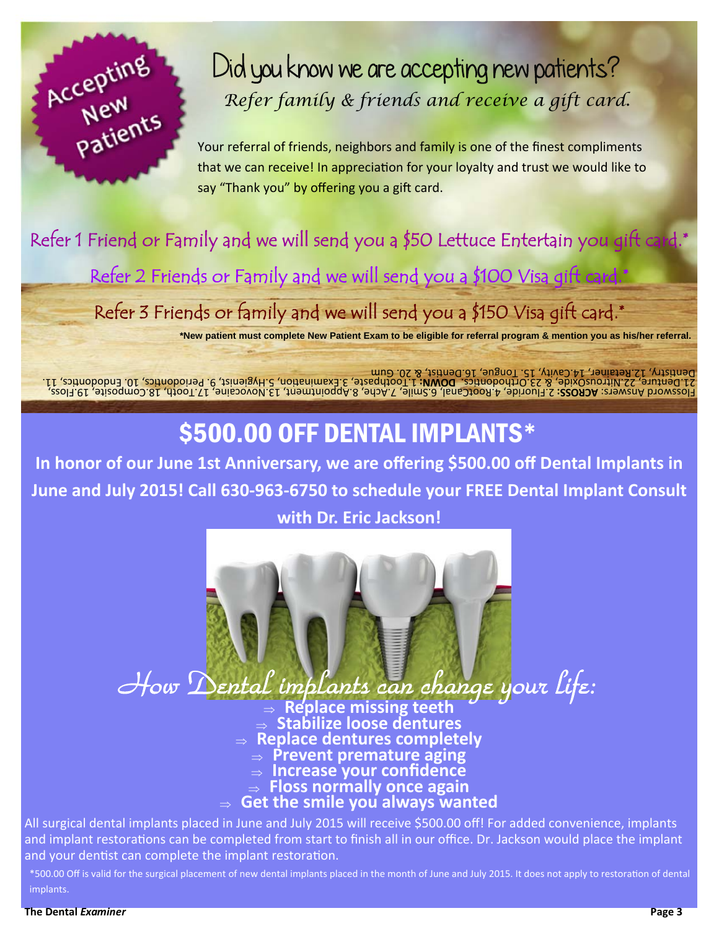

# Did you know we are accepting new patients? *Refer family & friends and receive a gift card.*

Your referral of friends, neighbors and family is one of the finest compliments that we can receive! In appreciation for your loyalty and trust we would like to say "Thank you" by offering you a gift card.

## Refer 1 Friend or Family and we will send you a \$50 Lettuce Entertain you gift card.\*

Refer 2 Friends or Family and we will send you a \$100 Visa gift card.\*

Refer 3 Friends or family and we will send you a \$150 Visa gift card.\*

**\*New patient must complete New Patient Exam to be eligible for referral program & mention you as his/her referral.** 

19.Floss, 18.Composite, 17.Tooth, 13.Novocaine, 8.Appointment, 7.Ache, 6.Smile, 4.RootCanal, 2.Fluoride, **ACROSS:** Answers: Flossword 11. cs, Ɵ Endodon 10. cs, Ɵ Periodon 9. 5.Hygienist, on, Ɵ 3.Examina 1.Toothpaste, **DOWN:**  cs. Ɵ 23.Orthodon & 22.NitrousOxide, 21.Denture, Dentistry, 12.Retainer, 14.Cavity, 15. Tongue, 16.Dentist, & 20. Gum

## \$500.00 OFF DENTAL IMPLANTS\*

**In honor of our June 1st Anniversary, we are offering \$500.00 off Dental Implants in June and July 2015! Call 630-963-6750 to schedule your FREE Dental Implant Consult** 

#### **with Dr. Eric Jackson!**



 **Replace missing teeth Stabilize loose dentures Replace dentures completely** 

- **Prevent premature aging**
- **Increase your confidence**
- **Floss normally once again**
- **Get the smile you always wanted**

All surgical dental implants placed in June and July 2015 will receive \$500.00 off! For added convenience, implants and implant restorations can be completed from start to finish all in our office. Dr. Jackson would place the implant and your dentist can complete the implant restoration.

\*500.00 Off is valid for the surgical placement of new dental implants placed in the month of June and July 2015. It does not apply to restoration of dental implants.